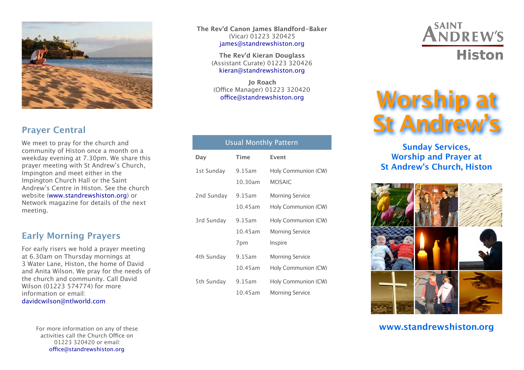

## **Prayer Central**

We meet to pray for the church and community of Histon once a month on a weekday evening at 7.30pm. We share this prayer meeting with St Andrew's Church, Impington and meet either in the Impington Church Hall or the Saint Andrew's Centre in Histon. See the church website ([www.standrewshiston.org\)](http://www.standrewshiston.org) or Network magazine for details of the next meeting.

## **Early Morning Prayers**

For early risers we hold a prayer meeting at 6.30am on Thursday mornings at 3 Water Lane, Histon, the home of David and Anita Wilson. We pray for the needs of the church and community. Call David Wilson (01223 574774) for more information or email: [davidcwilson@ntlworld.com](mailto:davidcwilson@ntlworld.com)

> For more information on any of these activities call the Church Office on 01223 320420 or email: offi[ce@standrewshiston.org](mailto:office@standrewshiston.org)

**The Rev'd Canon James Blandford-Baker** (Vicar) 01223 320425 [james@standrewshiston.org](mailto:james@standrewshiston.org)

> **The Rev'd Kieran Douglass** (Assistant Curate) 01223 320426 [kieran@standrewshiston.org](mailto:kieran@standrewshiston.org)

**Jo Roach** (Office Manager) 01223 320420 offi[ce@standrewshiston.org](mailto:office@standrewshiston.org)

#### Usual Monthly Pattern **Day Time Event** 1st Sunday 9.15am 10.30am Holy Communion (CW) MOSAIC 2nd Sunday 9.15am 10.45am Morning Service Holy Communion (CW) 3rd Sunday 9.15am 10.45am 7pm Holy Communion (CW) Morning Service Inspire 4th Sunday 9.15am 10.45am Morning Service Holy Communion (CW) 5th Sunday 9.15am 10.45am Holy Communion (CW) Morning Service

## **ANDREW'S Histon**

# **Worship at St Andrew's**

## **Sunday Services, Worship and Prayer at St Andrew's Church, Histon**



**www.standrewshiston.org**